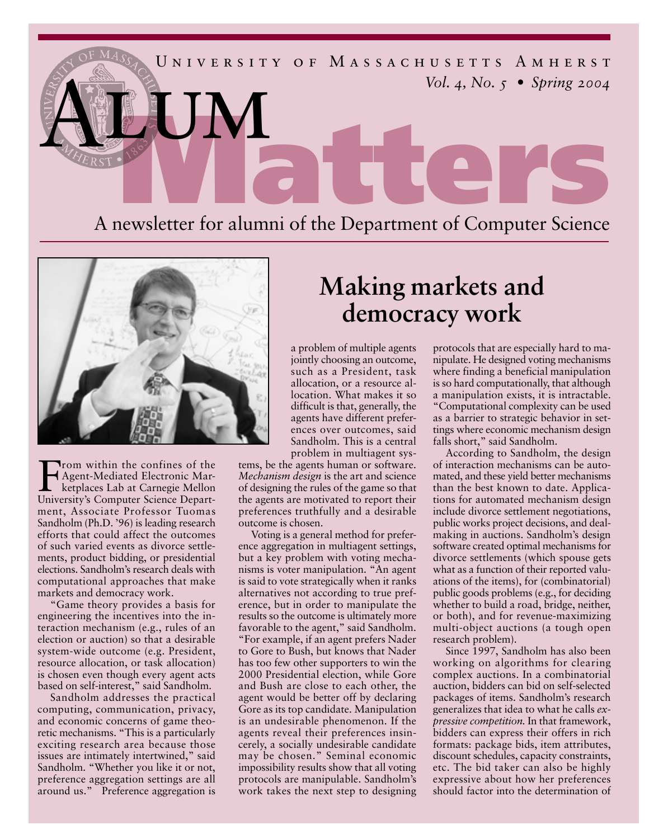



From within the confines of the<br>Agent-Mediated Electronic Market<br>places Lab at Carnegie Mellon Agent-Mediated Electronic Marketplaces Lab at Carnegie Mellon University's Computer Science Department, Associate Professor Tuomas Sandholm (Ph.D. '96) is leading research efforts that could affect the outcomes of such varied events as divorce settlements, product bidding, or presidential elections. Sandholm's research deals with computational approaches that make markets and democracy work.

"Game theory provides a basis for engineering the incentives into the interaction mechanism (e.g., rules of an election or auction) so that a desirable system-wide outcome (e.g. President, resource allocation, or task allocation) is chosen even though every agent acts based on self-interest," said Sandholm.

Sandholm addresses the practical computing, communication, privacy, and economic concerns of game theoretic mechanisms. "This is a particularly exciting research area because those issues are intimately intertwined," said Sandholm. "Whether you like it or not, preference aggregation settings are all around us." Preference aggregation is

## **Making markets and democracy work**

a problem of multiple agents jointly choosing an outcome, such as a President, task allocation, or a resource allocation. What makes it so difficult is that, generally, the agents have different preferences over outcomes, said Sandholm. This is a central problem in multiagent sys-

tems, be the agents human or software. *Mechanism design* is the art and science of designing the rules of the game so that the agents are motivated to report their preferences truthfully and a desirable outcome is chosen.

Voting is a general method for preference aggregation in multiagent settings, but a key problem with voting mechanisms is voter manipulation. "An agent is said to vote strategically when it ranks alternatives not according to true preference, but in order to manipulate the results so the outcome is ultimately more favorable to the agent," said Sandholm. "For example, if an agent prefers Nader to Gore to Bush, but knows that Nader has too few other supporters to win the 2000 Presidential election, while Gore and Bush are close to each other, the agent would be better off by declaring Gore as its top candidate. Manipulation is an undesirable phenomenon. If the agents reveal their preferences insincerely, a socially undesirable candidate may be chosen." Seminal economic impossibility results show that all voting protocols are manipulable. Sandholm's work takes the next step to designing protocols that are especially hard to manipulate. He designed voting mechanisms where finding a beneficial manipulation is so hard computationally, that although a manipulation exists, it is intractable. "Computational complexity can be used as a barrier to strategic behavior in settings where economic mechanism design falls short," said Sandholm.

According to Sandholm, the design of interaction mechanisms can be automated, and these yield better mechanisms than the best known to date. Applications for automated mechanism design include divorce settlement negotiations, public works project decisions, and dealmaking in auctions. Sandholm's design software created optimal mechanisms for divorce settlements (which spouse gets what as a function of their reported valuations of the items), for (combinatorial) public goods problems (e.g., for deciding whether to build a road, bridge, neither, or both), and for revenue-maximizing multi-object auctions (a tough open research problem).

Since 1997, Sandholm has also been working on algorithms for clearing complex auctions. In a combinatorial auction, bidders can bid on self-selected packages of items. Sandholm's research generalizes that idea to what he calls *expressive competition.* In that framework, bidders can express their offers in rich formats: package bids, item attributes, discount schedules, capacity constraints, etc. The bid taker can also be highly expressive about how her preferences should factor into the determination of